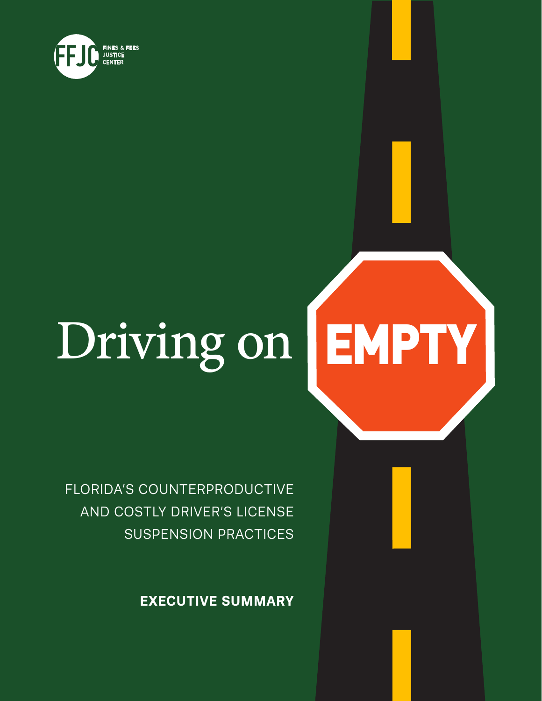

## Driving on EMPTY

FLORIDA'S COUNTERPRODUCTIVE AND COSTLY DRIVER'S LICENSE SUSPENSION PRACTICES

**EXECUTIVE SUMMARY**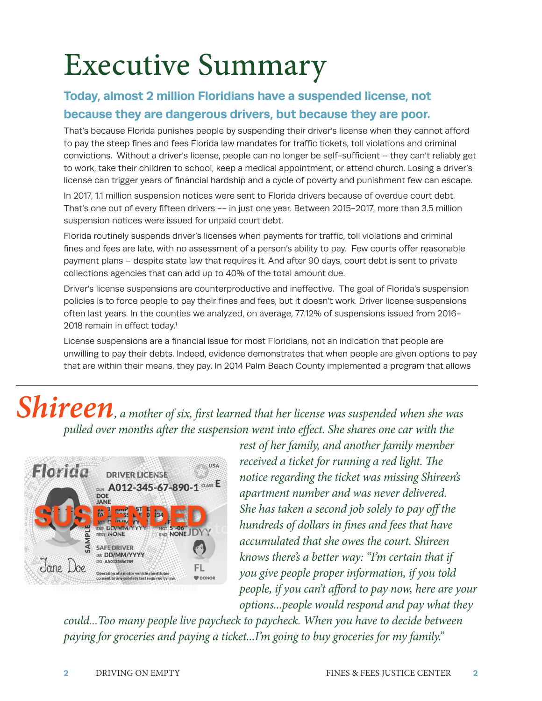# Executive Summary

#### **Today, almost 2 million Floridians have a suspended license, not**

#### **because they are dangerous drivers, but because they are poor.**

That's because Florida punishes people by suspending their driver's license when they cannot afford to pay the steep fines and fees Florida law mandates for traffic tickets, toll violations and criminal convictions. Without a driver's license, people can no longer be self-sufficient – they can't reliably get to work, take their children to school, keep a medical appointment, or attend church. Losing a driver's license can trigger years of financial hardship and a cycle of poverty and punishment few can escape.

In 2017, 1.1 million suspension notices were sent to Florida drivers because of overdue court debt. That's one out of every fifteen drivers -- in just one year. Between 2015-2017, more than 3.5 million suspension notices were issued for unpaid court debt.

Florida routinely suspends driver's licenses when payments for traffic, toll violations and criminal fines and fees are late, with no assessment of a person's ability to pay. Few courts offer reasonable payment plans – despite state law that requires it. And after 90 days, court debt is sent to private collections agencies that can add up to 40% of the total amount due.

Driver's license suspensions are counterproductive and ineffective. The goal of Florida's suspension policies is to force people to pay their fines and fees, but it doesn't work. Driver license suspensions often last years. In the counties we analyzed, on average, 77.12% of suspensions issued from 2016- 2018 remain in effect today.<sup>1</sup>

License suspensions are a financial issue for most Floridians, not an indication that people are unwilling to pay their debts. Indeed, evidence demonstrates that when people are given options to pay that are within their means, they pay. In 2014 Palm Beach County implemented a program that allows

### *Shireen*, a mother of six, first learned that her license was suspended when she was *pulled over months after the suspension went into effect. She shares one car with the*



*rest of her family, and another family member received a ticket for running a red light. The notice regarding the ticket was missing Shireen's apartment number and was never delivered. She has taken a second job solely to pay off the hundreds of dollars in fines and fees that have accumulated that she owes the court. Shireen knows there's a better way: "I'm certain that if you give people proper information, if you told people, if you can't afford to pay now, here are your options...people would respond and pay what they* 

*could...Too many people live paycheck to paycheck. When you have to decide between paying for groceries and paying a ticket...I'm going to buy groceries for my family."*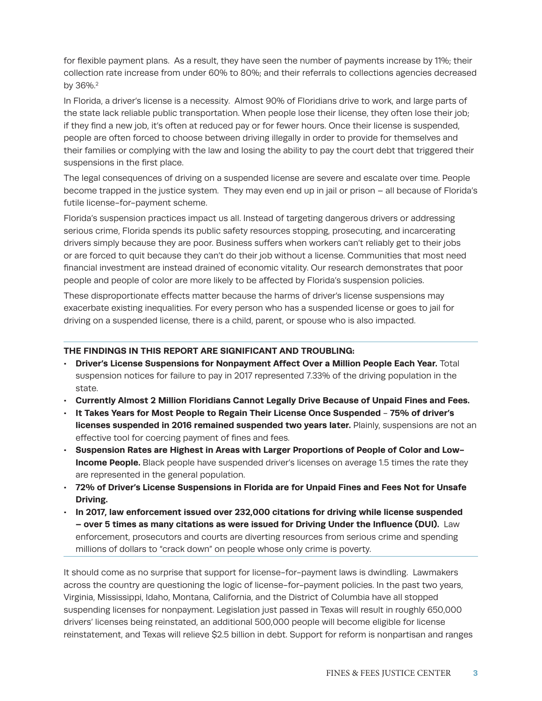for flexible payment plans. As a result, they have seen the number of payments increase by 11%; their collection rate increase from under 60% to 80%; and their referrals to collections agencies decreased by 36%.2

In Florida, a driver's license is a necessity. Almost 90% of Floridians drive to work, and large parts of the state lack reliable public transportation. When people lose their license, they often lose their job; if they find a new job, it's often at reduced pay or for fewer hours. Once their license is suspended, people are often forced to choose between driving illegally in order to provide for themselves and their families or complying with the law and losing the ability to pay the court debt that triggered their suspensions in the first place.

The legal consequences of driving on a suspended license are severe and escalate over time. People become trapped in the justice system. They may even end up in jail or prison – all because of Florida's futile license-for-payment scheme.

Florida's suspension practices impact us all. Instead of targeting dangerous drivers or addressing serious crime, Florida spends its public safety resources stopping, prosecuting, and incarcerating drivers simply because they are poor. Business suffers when workers can't reliably get to their jobs or are forced to quit because they can't do their job without a license. Communities that most need financial investment are instead drained of economic vitality. Our research demonstrates that poor people and people of color are more likely to be affected by Florida's suspension policies.

These disproportionate effects matter because the harms of driver's license suspensions may exacerbate existing inequalities. For every person who has a suspended license or goes to jail for driving on a suspended license, there is a child, parent, or spouse who is also impacted.

#### **THE FINDINGS IN THIS REPORT ARE SIGNIFICANT AND TROUBLING:**

- **• Driver's License Suspensions for Nonpayment Affect Over a Million People Each Year.** Total suspension notices for failure to pay in 2017 represented 7.33% of the driving population in the state.
- **• Currently Almost 2 Million Floridians Cannot Legally Drive Because of Unpaid Fines and Fees.**
- **• It Takes Years for Most People to Regain Their License Once Suspended 75% of driver's licenses suspended in 2016 remained suspended two years later.** Plainly, suspensions are not an effective tool for coercing payment of fines and fees.
- **• Suspension Rates are Highest in Areas with Larger Proportions of People of Color and Low-Income People.** Black people have suspended driver's licenses on average 1.5 times the rate they are represented in the general population.
- **• 72% of Driver's License Suspensions in Florida are for Unpaid Fines and Fees Not for Unsafe Driving.**
- **• In 2017, law enforcement issued over 232,000 citations for driving while license suspended – over 5 times as many citations as were issued for Driving Under the Influence (DUI).** Law enforcement, prosecutors and courts are diverting resources from serious crime and spending millions of dollars to "crack down" on people whose only crime is poverty.

It should come as no surprise that support for license-for-payment laws is dwindling. Lawmakers across the country are questioning the logic of license-for-payment policies. In the past two years, Virginia, Mississippi, Idaho, Montana, California, and the District of Columbia have all stopped suspending licenses for nonpayment. Legislation just passed in Texas will result in roughly 650,000 drivers' licenses being reinstated, an additional 500,000 people will become eligible for license reinstatement, and Texas will relieve \$2.5 billion in debt. Support for reform is nonpartisan and ranges